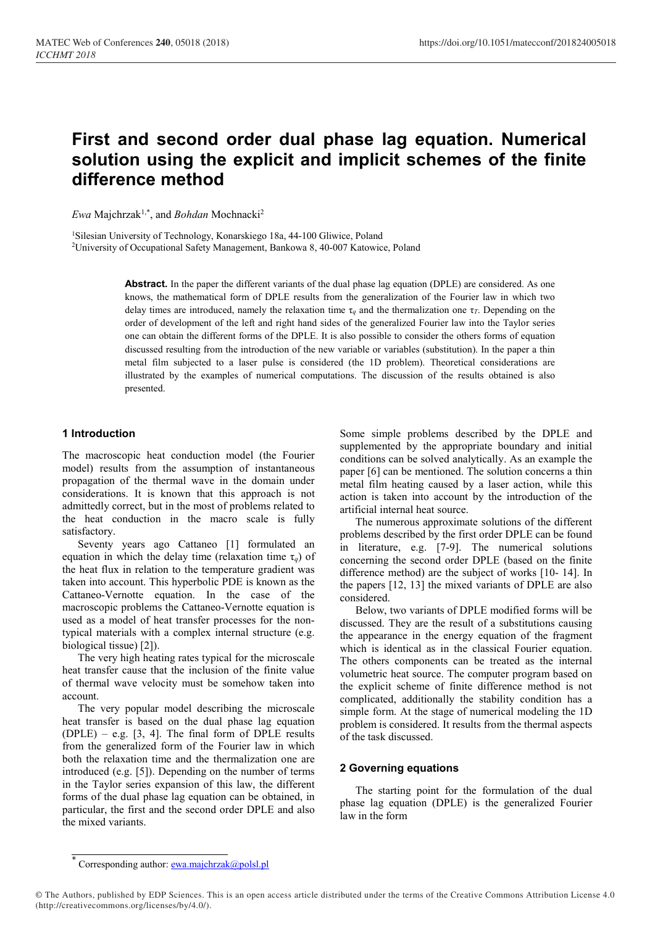# First and second order dual phase lag equation. Numerical solution using the explicit and implicit schemes of the finite difference method

Ewa Majchrzak<sup>1,\*</sup>, and *Bohdan* Mochnacki<sup>2</sup>

1Silesian University of Technology, Konarskiego 18a, 44-100 Gliwice, Poland

2University of Occupational Safety Management, Bankowa 8, 40-007 Katowice, Poland

Abstract. In the paper the different variants of the dual phase lag equation (DPLE) are considered. As one knows, the mathematical form of DPLE results from the generalization of the Fourier law in which two delay times are introduced, namely the relaxation time τ*<sup>q</sup>* and the thermalization one τ*T*. Depending on the order of development of the left and right hand sides of the generalized Fourier law into the Taylor series one can obtain the different forms of the DPLE. It is also possible to consider the others forms of equation discussed resulting from the introduction of the new variable or variables (substitution). In the paper a thin metal film subjected to a laser pulse is considered (the 1D problem). Theoretical considerations are illustrated by the examples of numerical computations. The discussion of the results obtained is also presented.

# 1 Introduction

The macroscopic heat conduction model (the Fourier model) results from the assumption of instantaneous propagation of the thermal wave in the domain under considerations. It is known that this approach is not admittedly correct, but in the most of problems related to the heat conduction in the macro scale is fully satisfactory.

Seventy years ago Cattaneo [1] formulated an equation in which the delay time (relaxation time  $\tau_q$ ) of the heat flux in relation to the temperature gradient was taken into account. This hyperbolic PDE is known as the Cattaneo-Vernotte equation. In the case of the macroscopic problems the Cattaneo-Vernotte equation is used as a model of heat transfer processes for the nontypical materials with a complex internal structure (e.g. biological tissue) [2]).

The very high heating rates typical for the microscale heat transfer cause that the inclusion of the finite value of thermal wave velocity must be somehow taken into account.

The very popular model describing the microscale heat transfer is based on the dual phase lag equation  $(DPLE) - e.g.$  [3, 4]. The final form of DPLE results from the generalized form of the Fourier law in which both the relaxation time and the thermalization one are introduced (e.g. [5]). Depending on the number of terms in the Taylor series expansion of this law, the different forms of the dual phase lag equation can be obtained, in particular, the first and the second order DPLE and also the mixed variants.

Some simple problems described by the DPLE and supplemented by the appropriate boundary and initial conditions can be solved analytically. As an example the paper [6] can be mentioned. The solution concerns a thin metal film heating caused by a laser action, while this action is taken into account by the introduction of the artificial internal heat source.

The numerous approximate solutions of the different problems described by the first order DPLE can be found in literature, e.g. [7-9]. The numerical solutions concerning the second order DPLE (based on the finite difference method) are the subject of works [10- 14]. In the papers [12, 13] the mixed variants of DPLE are also considered.

Below, two variants of DPLE modified forms will be discussed. They are the result of a substitutions causing the appearance in the energy equation of the fragment which is identical as in the classical Fourier equation. The others components can be treated as the internal volumetric heat source. The computer program based on the explicit scheme of finite difference method is not complicated, additionally the stability condition has a simple form. At the stage of numerical modeling the 1D problem is considered. It results from the thermal aspects of the task discussed.

## 2 Governing equations

The starting point for the formulation of the dual phase lag equation (DPLE) is the generalized Fourier law in the form

<sup>\*</sup> Corresponding author: ewa.majchrzak@polsl.pl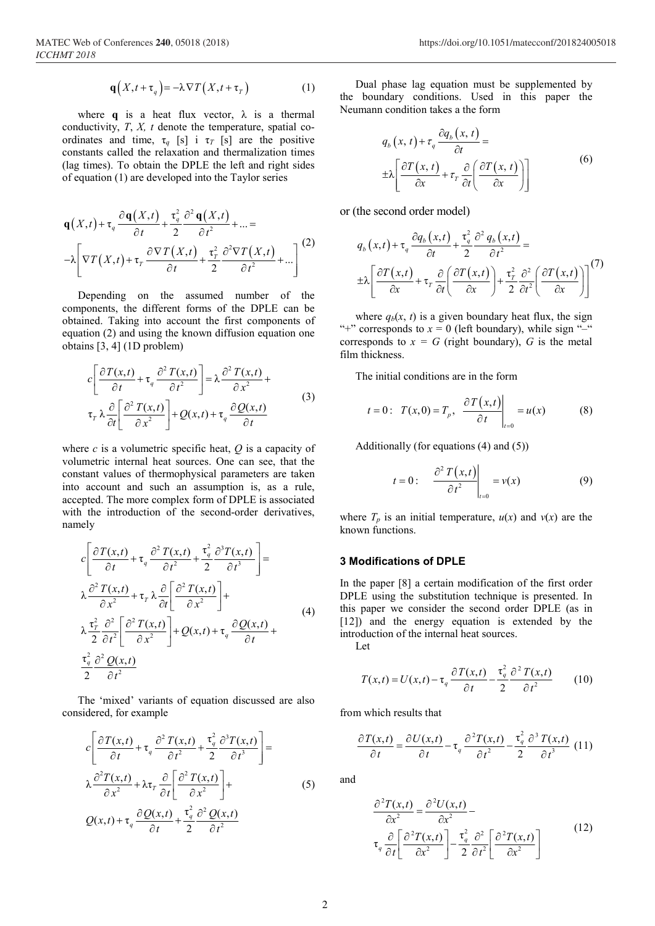$$
\mathbf{q}\left(X,t+\tau_q\right) = -\lambda \nabla T\left(X,t+\tau_r\right) \tag{1}
$$

where **q** is a heat flux vector,  $\lambda$  is a thermal conductivity, *T*, *X, t* denote the temperature, spatial coordinates and time,  $\tau_q$  [s] i  $\tau_T$  [s] are the positive constants called the relaxation and thermalization times (lag times). To obtain the DPLE the left and right sides of equation (1) are developed into the Taylor series

$$
\mathbf{q}(X,t) + \tau_q \frac{\partial \mathbf{q}(X,t)}{\partial t} + \frac{\tau_q^2}{2} \frac{\partial^2 \mathbf{q}(X,t)}{\partial t^2} + \dots =
$$
  
-
$$
\lambda \left[ \nabla T(X,t) + \tau_r \frac{\partial \nabla T(X,t)}{\partial t} + \frac{\tau_r^2}{2} \frac{\partial^2 \nabla T(X,t)}{\partial t^2} + \dots \right]^{(2)}
$$

Depending on the assumed number of the components, the different forms of the DPLE can be obtained. Taking into account the first components of equation (2) and using the known diffusion equation one obtains [3, 4] (1D problem)

$$
c\left[\frac{\partial T(x,t)}{\partial t} + \tau_q \frac{\partial^2 T(x,t)}{\partial t^2}\right] = \lambda \frac{\partial^2 T(x,t)}{\partial x^2} + \tau_r \lambda \frac{\partial}{\partial t} \left[\frac{\partial^2 T(x,t)}{\partial x^2}\right] + Q(x,t) + \tau_q \frac{\partial Q(x,t)}{\partial t}
$$
(3)

where *c* is a volumetric specific heat, *Q* is a capacity of volumetric internal heat sources. One can see, that the constant values of thermophysical parameters are taken into account and such an assumption is, as a rule, accepted. The more complex form of DPLE is associated with the introduction of the second-order derivatives, namely

$$
c\left[\frac{\partial T(x,t)}{\partial t} + \tau_q \frac{\partial^2 T(x,t)}{\partial t^2} + \frac{\tau_q^2}{2} \frac{\partial^3 T(x,t)}{\partial t^3}\right] =
$$
  
\n
$$
\lambda \frac{\partial^2 T(x,t)}{\partial x^2} + \tau_r \lambda \frac{\partial}{\partial t} \left[\frac{\partial^2 T(x,t)}{\partial x^2}\right] +
$$
  
\n
$$
\lambda \frac{\tau_r^2}{2} \frac{\partial^2}{\partial t^2} \left[\frac{\partial^2 T(x,t)}{\partial x^2}\right] + Q(x,t) + \tau_q \frac{\partial Q(x,t)}{\partial t} +
$$
  
\n
$$
\frac{\tau_q^2}{2} \frac{\partial^2 Q(x,t)}{\partial t^2}
$$
 (4)

The 'mixed' variants of equation discussed are also considered, for example

$$
c\left[\frac{\partial T(x,t)}{\partial t} + \tau_q \frac{\partial^2 T(x,t)}{\partial t^2} + \frac{\tau_q^2}{2} \frac{\partial^3 T(x,t)}{\partial t^3}\right] =
$$
  
\n
$$
\lambda \frac{\partial^2 T(x,t)}{\partial x^2} + \lambda \tau_r \frac{\partial}{\partial t} \left[\frac{\partial^2 T(x,t)}{\partial x^2}\right] +
$$
  
\n
$$
Q(x,t) + \tau_q \frac{\partial Q(x,t)}{\partial t} + \frac{\tau_q^2}{2} \frac{\partial^2 Q(x,t)}{\partial t^2}
$$
 (5)

Dual phase lag equation must be supplemented by the boundary conditions. Used in this paper the Neumann condition takes a the form

$$
q_b(x, t) + \tau_q \frac{\partial q_b(x, t)}{\partial t} =
$$
  
\n
$$
\pm \lambda \left[ \frac{\partial T(x, t)}{\partial x} + \tau_r \frac{\partial}{\partial t} \left( \frac{\partial T(x, t)}{\partial x} \right) \right]
$$
\n(6)

or (the second order model)

$$
q_b(x,t) + \tau_q \frac{\partial q_b(x,t)}{\partial t} + \frac{\tau_q^2}{2} \frac{\partial^2 q_b(x,t)}{\partial t^2} =
$$
  

$$
\pm \lambda \left[ \frac{\partial T(x,t)}{\partial x} + \tau_r \frac{\partial}{\partial t} \left( \frac{\partial T(x,t)}{\partial x} \right) + \frac{\tau_r^2}{2} \frac{\partial^2}{\partial t^2} \left( \frac{\partial T(x,t)}{\partial x} \right) \right]^{(7)}
$$

where  $q_b(x, t)$  is a given boundary heat flux, the sign "+" corresponds to  $x = 0$  (left boundary), while sign "-" corresponds to  $x = G$  (right boundary),  $G$  is the metal film thickness.

The initial conditions are in the form

$$
t = 0
$$
:  $T(x, 0) = T_p$ ,  $\frac{\partial T(x, t)}{\partial t} \bigg|_{t=0} = u(x)$  (8)

Additionally (for equations (4) and (5))

$$
t = 0: \frac{\partial^2 T(x,t)}{\partial t^2}\bigg|_{t=0} = v(x) \tag{9}
$$

where  $T_p$  is an initial temperature,  $u(x)$  and  $v(x)$  are the known functions.

# 3 Modifications of DPLE

In the paper [8] a certain modification of the first order DPLE using the substitution technique is presented. In this paper we consider the second order DPLE (as in [12]) and the energy equation is extended by the introduction of the internal heat sources.

Let

$$
T(x,t) = U(x,t) - \tau_q \frac{\partial T(x,t)}{\partial t} - \frac{\tau_q^2}{2} \frac{\partial^2 T(x,t)}{\partial t^2}
$$
 (10)

from which results that

$$
\frac{\partial T(x,t)}{\partial t} = \frac{\partial U(x,t)}{\partial t} - \tau_q \frac{\partial^2 T(x,t)}{\partial t^2} - \frac{\tau_q^2}{2} \frac{\partial^3 T(x,t)}{\partial t^3} (11)
$$

and

$$
\frac{\partial^2 T(x,t)}{\partial x^2} = \frac{\partial^2 U(x,t)}{\partial x^2} - \frac{\partial^2 U(x,t)}{\partial t \left[\frac{\partial^2 T(x,t)}{\partial x^2}\right] - \frac{\tau_q^2}{2} \frac{\partial^2}{\partial t^2} \left[\frac{\partial^2 T(x,t)}{\partial x^2}\right]}
$$
(12)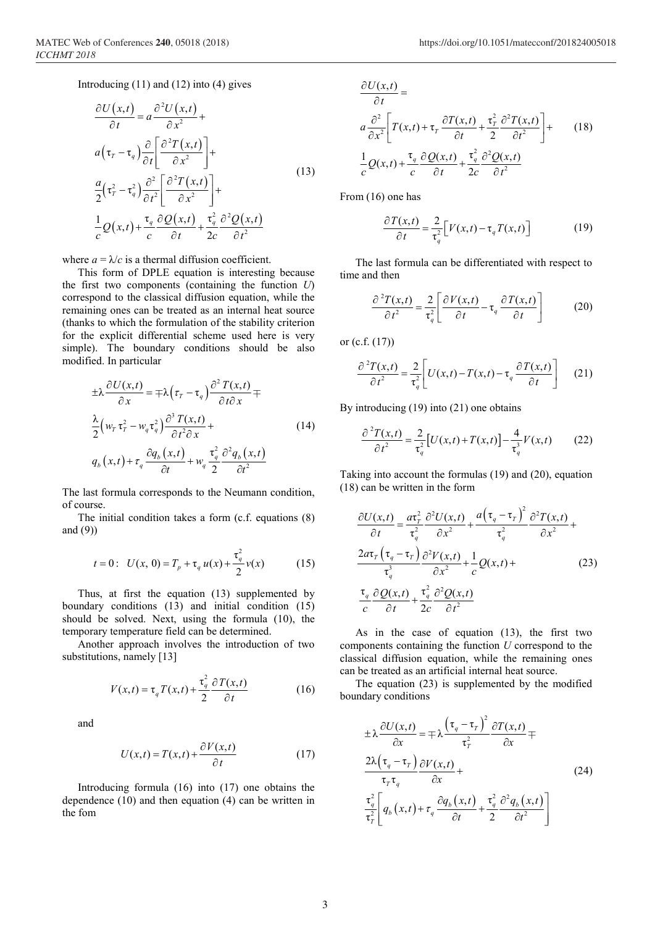Introducing (11) and (12) into (4) gives

$$
\frac{\partial U(x,t)}{\partial t} = a \frac{\partial^2 U(x,t)}{\partial x^2} +
$$
\n
$$
a(\tau_r - \tau_q) \frac{\partial}{\partial t} \left[ \frac{\partial^2 T(x,t)}{\partial x^2} \right] +
$$
\n
$$
\frac{a}{2} (\tau_r^2 - \tau_q^2) \frac{\partial^2}{\partial t^2} \left[ \frac{\partial^2 T(x,t)}{\partial x^2} \right] +
$$
\n
$$
\frac{1}{c} Q(x,t) + \frac{\tau_q}{c} \frac{\partial Q(x,t)}{\partial t} + \frac{\tau_q^2}{2c} \frac{\partial^2 Q(x,t)}{\partial t^2}
$$
\n(13)

where  $a = \lambda/c$  is a thermal diffusion coefficient.

This form of DPLE equation is interesting because the first two components (containing the function *U*) correspond to the classical diffusion equation, while the remaining ones can be treated as an internal heat source (thanks to which the formulation of the stability criterion for the explicit differential scheme used here is very simple). The boundary conditions should be also modified. In particular

$$
\pm \lambda \frac{\partial U(x,t)}{\partial x} = \mp \lambda \left( \tau_r - \tau_q \right) \frac{\partial^2 T(x,t)}{\partial t \partial x} \mp
$$
  

$$
\frac{\lambda}{2} \left( w_r \tau_r^2 - w_q \tau_q^2 \right) \frac{\partial^3 T(x,t)}{\partial t^2 \partial x} +
$$
  

$$
q_b(x,t) + \tau_q \frac{\partial q_b(x,t)}{\partial t} + w_q \frac{\tau_q^2}{2} \frac{\partial^2 q_b(x,t)}{\partial t^2}
$$
 (14)

The last formula corresponds to the Neumann condition, of course.

The initial condition takes a form (c.f. equations (8) and (9))

$$
t = 0: \ U(x, 0) = T_p + \tau_q u(x) + \frac{\tau_q^2}{2} v(x) \tag{15}
$$

Thus, at first the equation (13) supplemented by boundary conditions (13) and initial condition (15) should be solved. Next, using the formula (10), the temporary temperature field can be determined.

Another approach involves the introduction of two substitutions, namely [13]

$$
V(x,t) = \tau_q T(x,t) + \frac{\tau_q^2}{2} \frac{\partial T(x,t)}{\partial t}
$$
 (16)

and

$$
U(x,t) = T(x,t) + \frac{\partial V(x,t)}{\partial t}
$$
 (17)

Introducing formula (16) into (17) one obtains the dependence (10) and then equation (4) can be written in the fom

$$
\frac{\partial U(x,t)}{\partial t} =
$$
\n
$$
a \frac{\partial^2}{\partial x^2} \left[ T(x,t) + \tau_r \frac{\partial T(x,t)}{\partial t} + \frac{\tau_r^2}{2} \frac{\partial^2 T(x,t)}{\partial t^2} \right] +
$$
\n
$$
\frac{1}{c} Q(x,t) + \frac{\tau_q}{c} \frac{\partial Q(x,t)}{\partial t} + \frac{\tau_q^2}{2c} \frac{\partial^2 Q(x,t)}{\partial t^2}
$$
\n(18)

From (16) one has

$$
\frac{\partial T(x,t)}{\partial t} = \frac{2}{\tau_q^2} \Big[ V(x,t) - \tau_q T(x,t) \Big] \tag{19}
$$

The last formula can be differentiated with respect to time and then

$$
\frac{\partial^2 T(x,t)}{\partial t^2} = \frac{2}{\tau_q^2} \left[ \frac{\partial V(x,t)}{\partial t} - \tau_q \frac{\partial T(x,t)}{\partial t} \right]
$$
(20)

or (c.f. (17))

$$
\frac{\partial^2 T(x,t)}{\partial t^2} = \frac{2}{\tau_q^2} \left[ U(x,t) - T(x,t) - \tau_q \frac{\partial T(x,t)}{\partial t} \right] \tag{21}
$$

By introducing (19) into (21) one obtains

$$
\frac{\partial^2 T(x,t)}{\partial t^2} = \frac{2}{\tau_q^2} \left[ U(x,t) + T(x,t) \right] - \frac{4}{\tau_q^3} V(x,t) \tag{22}
$$

Taking into account the formulas (19) and (20), equation (18) can be written in the form

$$
\frac{\partial U(x,t)}{\partial t} = \frac{a\tau_r^2}{\tau_q^2} \frac{\partial^2 U(x,t)}{\partial x^2} + \frac{a(\tau_q - \tau_r)^2}{\tau_q^2} \frac{\partial^2 T(x,t)}{\partial x^2} +
$$
  

$$
\frac{2a\tau_r(\tau_q - \tau_r)}{\tau_q^3} \frac{\partial^2 V(x,t)}{\partial x^2} + \frac{1}{c}Q(x,t) +
$$
 (23)  

$$
\frac{\tau_q}{c} \frac{\partial Q(x,t)}{\partial t} + \frac{\tau_q^2}{2c} \frac{\partial^2 Q(x,t)}{\partial t^2}
$$

As in the case of equation (13), the first two components containing the function *U* correspond to the classical diffusion equation, while the remaining ones can be treated as an artificial internal heat source.

The equation (23) is supplemented by the modified boundary conditions

$$
\pm \lambda \frac{\partial U(x,t)}{\partial x} = \mp \lambda \frac{\left(\tau_q - \tau_r\right)^2}{\tau_r^2} \frac{\partial T(x,t)}{\partial x} \mp
$$
\n
$$
\frac{2\lambda \left(\tau_q - \tau_r\right)}{\tau_r \tau_q} \frac{\partial V(x,t)}{\partial x} +
$$
\n
$$
\frac{\tau_q^2}{\tau_r^2} \left[q_b\left(x,t\right) + \tau_q \frac{\partial q_b\left(x,t\right)}{\partial t} + \frac{\tau_q^2}{2} \frac{\partial^2 q_b\left(x,t\right)}{\partial t^2}\right]
$$
\n(24)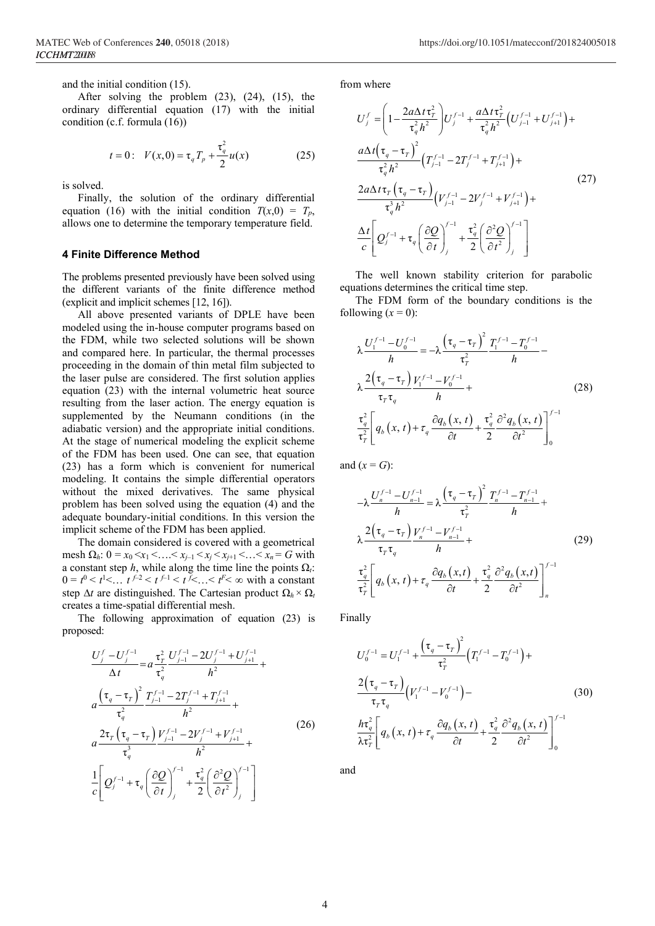and the initial condition (15).

After solving the problem (23), (24), (15), the ordinary differential equation (17) with the initial condition (c.f. formula (16))

$$
t = 0
$$
:  $V(x, 0) = \tau_q T_p + \frac{\tau_q^2}{2} u(x)$  (25)

is solved.

Finally, the solution of the ordinary differential equation (16) with the initial condition  $T(x,0) = T_p$ , allows one to determine the temporary temperature field.

#### 4 Finite Difference Method

The problems presented previously have been solved using the different variants of the finite difference method (explicit and implicit schemes [12, 16]).

All above presented variants of DPLE have been modeled using the in-house computer programs based on the FDM, while two selected solutions will be shown and compared here. In particular, the thermal processes proceeding in the domain of thin metal film subjected to the laser pulse are considered. The first solution applies equation (23) with the internal volumetric heat source resulting from the laser action. The energy equation is supplemented by the Neumann conditions (in the adiabatic version) and the appropriate initial conditions. At the stage of numerical modeling the explicit scheme of the FDM has been used. One can see, that equation (23) has a form which is convenient for numerical modeling. It contains the simple differential operators without the mixed derivatives. The same physical problem has been solved using the equation (4) and the adequate boundary-initial conditions. In this version the implicit scheme of the FDM has been applied.

The domain considered is covered with a geometrical mesh  $\Omega_h$ :  $0 = x_0 < x_1 < \ldots < x_{i-1} < x_i < x_{i+1} < \ldots < x_n = G$  with a constant step *h*, while along the time line the points  $\Omega_t$ :  $0 = t^0 < t^1 < ... t^{f-2} < t^{f-1} < t^f < ... < t^F < \infty$  with a constant step ∆*t* are distinguished. The Cartesian product Ω*<sup>h</sup>* × Ω*<sup>t</sup>* creates a time-spatial differential mesh.

The following approximation of equation (23) is proposed:

$$
\frac{U_{j}^{f} - U_{j}^{f-1}}{\Delta t} = a \frac{\tau_{r}^{2}}{\tau_{q}^{2}} \frac{U_{j-1}^{f-1} - 2U_{j}^{f-1} + U_{j+1}^{f-1}}{h^{2}} +
$$
\n
$$
a \frac{\left(\tau_{q} - \tau_{r}\right)^{2}}{\tau_{q}^{2}} \frac{T_{j-1}^{f-1} - 2T_{j}^{f-1} + T_{j+1}^{f-1}}{h^{2}} +
$$
\n
$$
a \frac{2\tau_{r} \left(\tau_{q} - \tau_{r}\right) V_{j-1}^{f-1} - 2V_{j}^{f-1} + V_{j+1}^{f-1}}{\tau_{q}^{3}} + \frac{1}{\tau_{q}^{2}} \left(\frac{\partial Q}{\partial t}\right)_{j}^{f-1} + \frac{\tau_{q}^{2}}{2} \left(\frac{\partial^{2} Q}{\partial t^{2}}\right)_{j}^{f-1}\right] \tag{26}
$$

from where

$$
U_{j}^{f} = \left(1 - \frac{2a\Delta t \tau_{T}^{2}}{\tau_{q}^{2} h^{2}}\right) U_{j}^{f-1} + \frac{a\Delta t \tau_{T}^{2}}{\tau_{q}^{2} h^{2}} \left(U_{j-1}^{f-1} + U_{j+1}^{f-1}\right) +
$$
\n
$$
\frac{a\Delta t \left(\tau_{q} - \tau_{T}\right)^{2}}{\tau_{q}^{2} h^{2}} \left(T_{j-1}^{f-1} - 2T_{j}^{f-1} + T_{j+1}^{f-1}\right) +
$$
\n
$$
\frac{2a\Delta t \tau_{T} \left(\tau_{q} - \tau_{T}\right)}{\tau_{q}^{3} h^{2}} \left(V_{j-1}^{f-1} - 2V_{j}^{f-1} + V_{j+1}^{f-1}\right) +
$$
\n
$$
\frac{\Delta t}{c} \left[Q_{j}^{f-1} + \tau_{q} \left(\frac{\partial Q}{\partial t}\right)_{j}^{f-1} + \frac{\tau_{q}^{2}}{2} \left(\frac{\partial^{2} Q}{\partial t^{2}}\right)_{j}^{f-1}\right]
$$
\n(27)

The well known stability criterion for parabolic equations determines the critical time step.

The FDM form of the boundary conditions is the following  $(x = 0)$ :

$$
\lambda \frac{U_1^{f-1} - U_0^{f-1}}{h} = -\lambda \frac{\left(\tau_q - \tau_r\right)^2}{\tau_r^2} \frac{T_1^{f-1} - T_0^{f-1}}{h} - \lambda \frac{2\left(\tau_q - \tau_r\right) V_1^{f-1} - V_0^{f-1}}{\tau_r \tau_q} + \frac{\tau_q^2}{h} \left[q_b\left(x, t\right) + \tau_q \frac{\partial q_b\left(x, t\right)}{\partial t} + \frac{\tau_q^2}{2} \frac{\partial^2 q_b\left(x, t\right)}{\partial t^2}\right]_0^{f-1}
$$
\n(28)

and  $(x = G)$ :

$$
-\lambda \frac{U_n^{f-1} - U_{n-1}^{f-1}}{h} = \lambda \frac{\left(\tau_q - \tau_r\right)^2}{\tau_r^2} \frac{T_n^{f-1} - T_{n-1}^{f-1}}{h} + \lambda \frac{2\left(\tau_q - \tau_r\right)}{\tau_r \tau_q} \frac{V_n^{f-1} - V_{n-1}^{f-1}}{h} + \frac{\tau_q^2}{\tau_r^2} \left[q_b\left(x, t\right) + \tau_q \frac{\partial q_b\left(x, t\right)}{\partial t} + \frac{\tau_q^2}{2} \frac{\partial^2 q_b\left(x, t\right)}{\partial t^2}\right]_n^{f-1}
$$
\n(29)

Finally

$$
U_0^{f-1} = U_1^{f-1} + \frac{\left(\tau_q - \tau_r\right)^2}{\tau_r^2} \left(T_1^{f-1} - T_0^{f-1}\right) +
$$
  

$$
\frac{2\left(\tau_q - \tau_r\right)}{\tau_r \tau_q} \left(V_1^{f-1} - V_0^{f-1}\right) -
$$
  

$$
\frac{h\tau_q^2}{\lambda \tau_r^2} \left[q_b\left(x, t\right) + \tau_q \frac{\partial q_b\left(x, t\right)}{\partial t} + \frac{\tau_q^2}{2} \frac{\partial^2 q_b\left(x, t\right)}{\partial t^2}\right]_0^{f-1}
$$
 (30)

and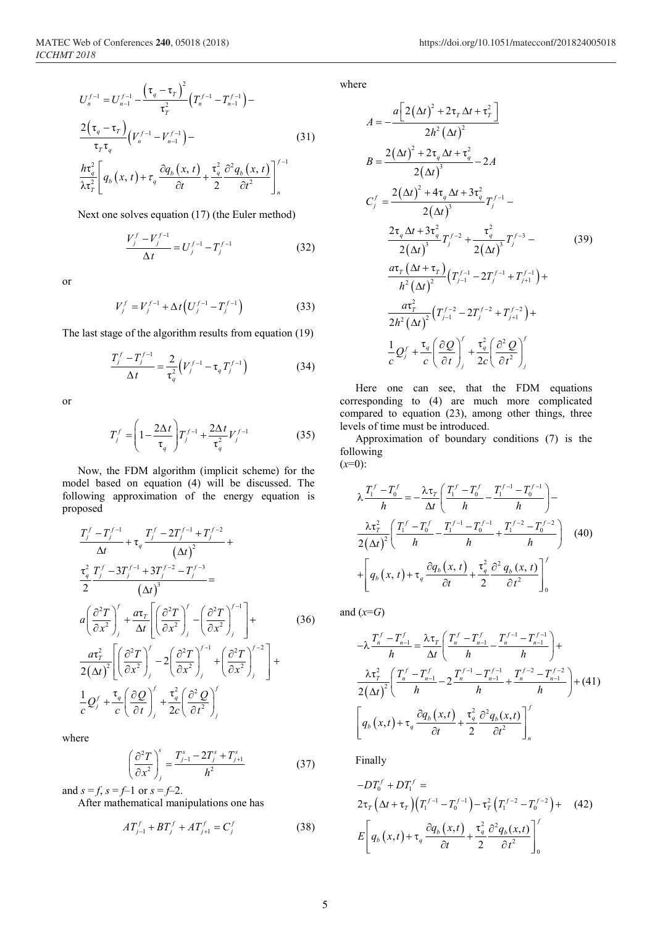$$
U_n^{f-1} = U_{n-1}^{f-1} - \frac{\left(\tau_q - \tau_r\right)^2}{\tau_r^2} \left(T_n^{f-1} - T_{n-1}^{f-1}\right) -
$$
  

$$
\frac{2\left(\tau_q - \tau_r\right)}{\tau_r \tau_q} \left(V_n^{f-1} - V_{n-1}^{f-1}\right) -
$$
  

$$
\frac{h\tau_q^2}{\lambda \tau_r^2} \left[q_b\left(x, t\right) + \tau_q \frac{\partial q_b\left(x, t\right)}{\partial t} + \frac{\tau_q^2}{2} \frac{\partial^2 q_b\left(x, t\right)}{\partial t^2}\right]_n^{f-1}
$$
 (31)

Next one solves equation (17) (the Euler method)

$$
\frac{V_j^f - V_j^{f-1}}{\Delta t} = U_j^{f-1} - T_j^{f-1}
$$
 (32)

or

$$
V_j^f = V_j^{f-1} + \Delta t \left( U_j^{f-1} - T_j^{f-1} \right) \tag{33}
$$

The last stage of the algorithm results from equation (19)

$$
\frac{T_j^f - T_j^{f-1}}{\Delta t} = \frac{2}{\tau_q^2} \left( V_j^{f-1} - \tau_q T_j^{f-1} \right)
$$
(34)

or

$$
T_j^f = \left(1 - \frac{2\Delta t}{\tau_q}\right) T_j^{f-1} + \frac{2\Delta t}{\tau_q^2} V_j^{f-1}
$$
 (35)

Now, the FDM algorithm (implicit scheme) for the model based on equation (4) will be discussed. The following approximation of the energy equation is proposed

$$
\frac{T_j^f - T_j^{f-1}}{\Delta t} + \tau_q \frac{T_j^f - 2T_j^{f-1} + T_j^{f-2}}{(\Delta t)^2} + \frac{\tau_q^2}{2} \frac{T_j^f - 3T_j^{f-1} + 3T_j^{f-2} - T_j^{f-3}}{(\Delta t)^3} =
$$
\n
$$
a \left( \frac{\partial^2 T}{\partial x^2} \right)_j^f + \frac{a \tau_r}{\Delta t} \left[ \left( \frac{\partial^2 T}{\partial x^2} \right)_j^f - \left( \frac{\partial^2 T}{\partial x^2} \right)_j^{f-1} \right] + \frac{a \tau_r^2}{2(\Delta t)^2} \left[ \left( \frac{\partial^2 T}{\partial x^2} \right)_j^f - 2 \left( \frac{\partial^2 T}{\partial x^2} \right)_j^{f-1} + \left( \frac{\partial^2 T}{\partial x^2} \right)_j^{f-2} \right] + \frac{1}{c} Q_j^f + \frac{\tau_q}{c} \left( \frac{\partial Q}{\partial t} \right)_j^f + \frac{\tau_q^2}{2c} \left( \frac{\partial^2 Q}{\partial t^2} \right)_j^f
$$
\n(36)

where

$$
\left(\frac{\partial^2 T}{\partial x^2}\right)_j^s = \frac{T_{j-1}^s - 2T_j^s + T_{j+1}^s}{h^2} \tag{37}
$$

and  $s = f$ ,  $s = f-1$  or  $s = f-2$ .

After mathematical manipulations one has

$$
AT_{j-1}^f + BT_j^f + AT_{j+1}^f = C_j^f \tag{38}
$$

where

$$
A = -\frac{a\left[2(\Delta t)^{2} + 2\tau_{T}\Delta t + \tau_{T}^{2}\right]}{2h^{2}(\Delta t)^{2}}
$$
\n
$$
B = \frac{2(\Delta t)^{2} + 2\tau_{q}\Delta t + \tau_{q}^{2}}{2(\Delta t)^{3}} - 2A
$$
\n
$$
C_{j}^{f} = \frac{2(\Delta t)^{2} + 4\tau_{q}\Delta t + 3\tau_{q}^{2}}{2(\Delta t)^{3}}T_{j}^{f-1} - \frac{2\tau_{q}\Delta t + 3\tau_{q}^{2}}{2(\Delta t)^{3}}T_{j}^{f-2} + \frac{\tau_{q}^{2}}{2(\Delta t)^{3}}T_{j}^{f-3} - \frac{a\tau_{T}(\Delta t + \tau_{T})}{h^{2}(\Delta t)^{2}}\left(T_{j-1}^{f-1} - 2T_{j}^{f-1} + T_{j+1}^{f-1}\right) + \frac{a\tau_{T}^{2}}{2h^{2}(\Delta t)^{2}}\left(T_{j-1}^{f-2} - 2T_{j}^{f-2} + T_{j+1}^{f-2}\right) + \frac{1}{2h^{2}(\Delta t)^{2}}\left(T_{j-1}^{f-2} - 2T_{j}^{f-2} + T_{j+1}^{f-2}\right) + \frac{1}{c}Q_{j}^{f} + \frac{\tau_{q}}{c}\left(\frac{\partial Q}{\partial t}\right)_{j}^{f} + \frac{\tau_{q}^{2}}{2c}\left(\frac{\partial^{2} Q}{\partial t^{2}}\right)_{j}^{f}
$$

Here one can see, that the FDM equations corresponding to (4) are much more complicated compared to equation (23), among other things, three levels of time must be introduced.

Approximation of boundary conditions (7) is the following  $(x=0)$ :

$$
\lambda \frac{T_1^f - T_0^f}{h} = -\frac{\lambda \tau_r}{\Delta t} \left( \frac{T_1^f - T_0^f}{h} - \frac{T_1^{f-1} - T_0^{f-1}}{h} \right) - \frac{\lambda \tau_r^2}{2(\Delta t)^2} \left( \frac{T_1^f - T_0^f}{h} - \frac{T_1^{f-1} - T_0^{f-1}}{h} + \frac{T_1^{f-2} - T_0^{f-2}}{h} \right) (40) + \left[ q_b(x, t) + \tau_q \frac{\partial q_b(x, t)}{\partial t} + \frac{\tau_q^2}{2} \frac{\partial^2 q_b(x, t)}{\partial t^2} \right]_0^f
$$

and  $(x=G)$ 

$$
-\lambda \frac{T_n^f - T_{n-1}^f}{h} = \frac{\lambda \tau_r}{\Delta t} \left( \frac{T_n^f - T_{n-1}^f}{h} - \frac{T_n^{f-1} - T_{n-1}^{f-1}}{h} \right) +
$$
  

$$
\frac{\lambda \tau_r^2}{2(\Delta t)^2} \left( \frac{T_n^f - T_{n-1}^f}{h} - 2 \frac{T_n^{f-1} - T_{n-1}^{f-1}}{h} + \frac{T_n^{f-2} - T_{n-1}^{f-2}}{h} \right) + (41)
$$
  

$$
\left[ q_b(x, t) + \tau_q \frac{\partial q_b(x, t)}{\partial t} + \frac{\tau_q^2}{2} \frac{\partial^2 q_b(x, t)}{\partial t^2} \right]_n^f
$$

Finally

$$
-DT_0^f + DT_1^f =
$$
  
\n
$$
2\tau_T \left(\Delta t + \tau_T\right) \left(T_1^{f-1} - T_0^{f-1}\right) - \tau_T^2 \left(T_1^{f-2} - T_0^{f-2}\right) + (42)
$$
  
\n
$$
E \left[q_b\left(x, t\right) + \tau_q \frac{\partial q_b\left(x, t\right)}{\partial t} + \frac{\tau_q^2}{2} \frac{\partial^2 q_b\left(x, t\right)}{\partial t^2}\right]_0^f
$$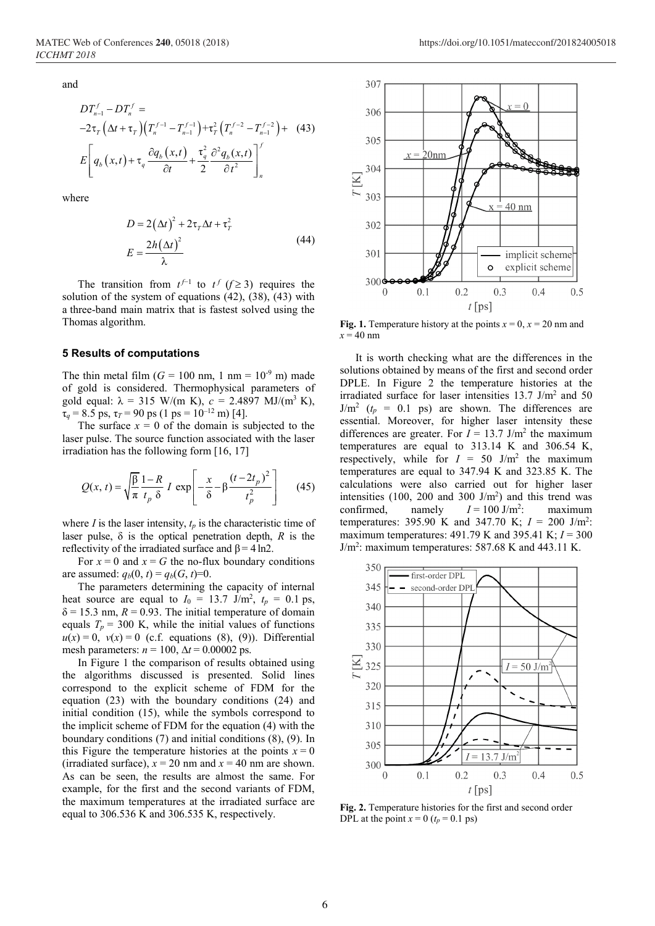and

$$
DT_{n-1}^{f} - DT_{n}^{f} =
$$
  
-2 $\tau_{T}$   $(\Delta t + \tau_{T}) (T_{n}^{f-1} - T_{n-1}^{f-1}) + \tau_{T}^{2} (T_{n}^{f-2} - T_{n-1}^{f-2}) + (43)$   

$$
E \left[ q_{b} (x, t) + \tau_{q} \frac{\partial q_{b} (x, t)}{\partial t} + \frac{\tau_{q}^{2}}{2} \frac{\partial^{2} q_{b} (x, t)}{\partial t^{2}} \right]_{n}^{f}
$$

where

$$
D = 2(\Delta t)^{2} + 2\tau_{T}\Delta t + \tau_{T}^{2}
$$
  

$$
E = \frac{2h(\Delta t)^{2}}{\lambda}
$$
 (44)

The transition from  $t^{f-1}$  to  $t^f$  ( $f \ge 3$ ) requires the solution of the system of equations  $(42)$ ,  $(38)$ ,  $(43)$  with a three-band main matrix that is fastest solved using the Thomas algorithm.

### 5 Results of computations

The thin metal film  $(G = 100 \text{ nm}, 1 \text{ nm} = 10^{-9} \text{ m})$  made of gold is considered. Thermophysical parameters of gold equal:  $\lambda = 315$  W/(m K),  $c = 2.4897$  MJ/(m<sup>3</sup> K),  $\tau_q = 8.5$  ps,  $\tau_T = 90$  ps (1 ps = 10<sup>-12</sup> m) [4].

The surface  $x = 0$  of the domain is subjected to the laser pulse. The source function associated with the laser irradiation has the following form [16, 17]

$$
Q(x, t) = \sqrt{\frac{\beta}{\pi}} \frac{1 - R}{t_p \delta} I \exp\left[-\frac{x}{\delta} - \beta \frac{(t - 2t_p)^2}{t_p^2}\right] \tag{45}
$$

where *I* is the laser intensity,  $t_p$  is the characteristic time of laser pulse,  $\delta$  is the optical penetration depth, *R* is the reflectivity of the irradiated surface and  $\beta = 4 \ln 2$ .

For  $x = 0$  and  $x = G$  the no-flux boundary conditions are assumed:  $q_b(0, t) = q_b(G, t) = 0$ .

The parameters determining the capacity of internal heat source are equal to  $I_0 = 13.7$  J/m<sup>2</sup>,  $t_p = 0.1$  ps,  $\delta$  = 15.3 nm,  $R$  = 0.93. The initial temperature of domain equals  $T_p = 300$  K, while the initial values of functions  $u(x) = 0$ ,  $v(x) = 0$  (c.f. equations (8), (9)). Differential mesh parameters:  $n = 100$ ,  $\Delta t = 0.00002$  ps.

In Figure 1 the comparison of results obtained using the algorithms discussed is presented. Solid lines correspond to the explicit scheme of FDM for the equation (23) with the boundary conditions (24) and initial condition (15), while the symbols correspond to the implicit scheme of FDM for the equation (4) with the boundary conditions (7) and initial conditions (8), (9). In this Figure the temperature histories at the points  $x = 0$ (irradiated surface),  $x = 20$  nm and  $x = 40$  nm are shown. As can be seen, the results are almost the same. For example, for the first and the second variants of FDM, the maximum temperatures at the irradiated surface are equal to 306.536 K and 306.535 K, respectively.



Fig. 1. Temperature history at the points  $x = 0$ ,  $x = 20$  nm and  $x = 40$  nm

It is worth checking what are the differences in the solutions obtained by means of the first and second order DPLE. In Figure 2 the temperature histories at the irradiated surface for laser intensities 13.7 J/m2 and 50  $J/m^2$  ( $t_p = 0.1$  ps) are shown. The differences are essential. Moreover, for higher laser intensity these differences are greater. For  $I = 13.7$  J/m<sup>2</sup> the maximum temperatures are equal to 313.14 K and 306.54 K, respectively, while for  $I = 50$  J/m<sup>2</sup> the maximum temperatures are equal to 347.94 K and 323.85 K. The calculations were also carried out for higher laser intensities  $(100, 200 \text{ and } 300 \text{ J/m}^2)$  and this trend was confirmed, namely  $I = 100 \text{ J/m}^2$ . : maximum temperatures: 395.90 K and 347.70 K;  $I = 200$  J/m<sup>2</sup>: maximum temperatures: 491.79 K and 395.41 K; *I* = 300 J/m<sup>2</sup>: maximum temperatures: 587.68 K and 443.11 K.



Fig. 2. Temperature histories for the first and second order DPL at the point  $x = 0$  ( $t_p = 0.1$  ps)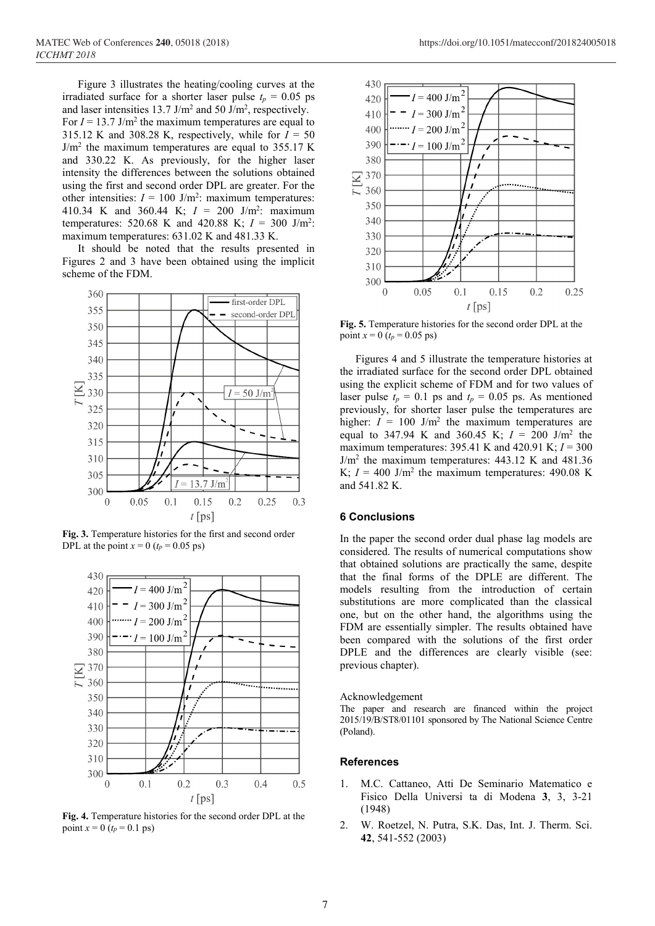Figure 3 illustrates the heating/cooling curves at the irradiated surface for a shorter laser pulse  $t_p = 0.05$  ps and laser intensities  $13.7 \text{ J/m}^2$  and  $50 \text{ J/m}^2$ , respectively. For  $I = 13.7$  J/m<sup>2</sup> the maximum temperatures are equal to 315.12 K and 308.28 K, respectively, while for  $I = 50$  $J/m<sup>2</sup>$  the maximum temperatures are equal to 355.17 K and 330.22 K. As previously, for the higher laser intensity the differences between the solutions obtained using the first and second order DPL are greater. For the other intensities:  $I = 100$  J/m<sup>2</sup>: maximum temperatures: 410.34 K and 360.44 K;  $I = 200$  J/m<sup>2</sup>: maximum temperatures: 520.68 K and 420.88 K;  $I = 300$  J/m<sup>2</sup>: maximum temperatures: 631.02 K and 481.33 K.

It should be noted that the results presented in Figures 2 and 3 have been obtained using the implicit scheme of the FDM.



Fig. 3. Temperature histories for the first and second order DPL at the point  $x = 0$  ( $t_p = 0.05$  ps)



Fig. 4. Temperature histories for the second order DPL at the point  $x = 0$  ( $t_p = 0.1$  ps)



Fig. 5. Temperature histories for the second order DPL at the point  $x = 0$  ( $t_p = 0.05$  ps)

Figures 4 and 5 illustrate the temperature histories at the irradiated surface for the second order DPL obtained using the explicit scheme of FDM and for two values of laser pulse  $t_p = 0.1$  ps and  $t_p = 0.05$  ps. As mentioned previously, for shorter laser pulse the temperatures are higher:  $I = 100$  J/m<sup>2</sup> the maximum temperatures are equal to 347.94 K and 360.45 K;  $I = 200$  J/m<sup>2</sup> the maximum temperatures:  $395.41$  K and  $420.91$  K;  $I = 300$  $J/m<sup>2</sup>$  the maximum temperatures: 443.12 K and 481.36 K;  $I = 400$  J/m<sup>2</sup> the maximum temperatures: 490.08 K and 541.82 K.

## 6 Conclusions

In the paper the second order dual phase lag models are considered. The results of numerical computations show that obtained solutions are practically the same, despite that the final forms of the DPLE are different. The models resulting from the introduction of certain substitutions are more complicated than the classical one, but on the other hand, the algorithms using the FDM are essentially simpler. The results obtained have been compared with the solutions of the first order DPLE and the differences are clearly visible (see: previous chapter).

#### Acknowledgement

The paper and research are financed within the project 2015/19/B/ST8/01101 sponsored by The National Science Centre (Poland).

## References

- 1. M.C. Cattaneo, Atti De Seminario Matematico e Fisico Della Universi ta di Modena 3, 3, 3-21 (1948)
- 2. W. Roetzel, N. Putra, S.K. Das, Int. J. Therm. Sci. 42, 541-552 (2003)